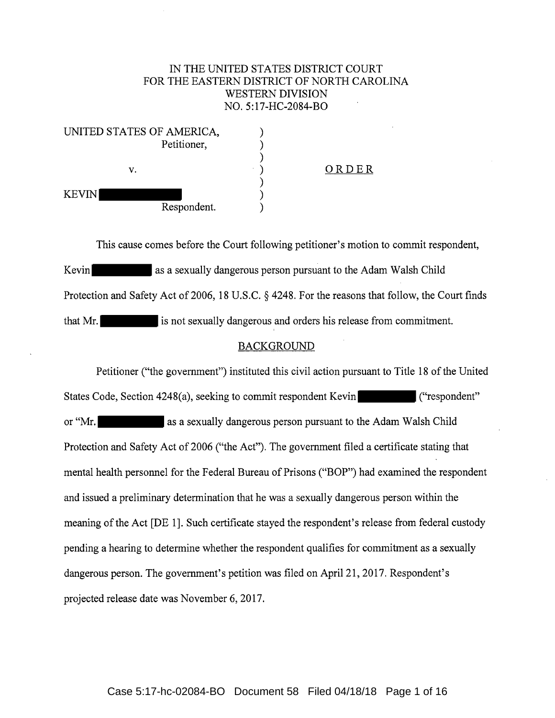## IN THE UNITED STATES DISTRICT COURT FOR THE EASTERN DISTRICT OF NORTH CAROLINA WESTERN DIVISION NO. 5:17-HC-2084-BO

| UNITED STATES OF AMERICA,   |       |
|-----------------------------|-------|
| Petitioner,                 |       |
| v.                          | ORDER |
| <b>KEVIN</b><br>Respondent. |       |

This cause comes before the Court following petitioner's motion to commit respondent, Kevin as a sexually dangerous person pursuant to the Adam Walsh Child Protection and Safety Act of 2006, 18 U.S.C. § 4248. For the reasons that follow, the Court finds that Mr. is not sexually dangerous and orders his release from commitment.

## BACKGROUND

Petitioner ("the government") instituted this civil action pursuant to Title 18 of the United States Code, Section 4248(a), seeking to commit respondent Kevin ("respondent" or "Mr. as a sexually dangerous person pursuant to the Adam Walsh Child Protection and Safety Act of 2006 ("the Act"). The government filed a certificate stating that mental health personnel for the Federal Bureau of Prisons ("BOP") had examined the respondent and issued a preliminary determination that he was a sexually dangerous person within the meaning of the Act [DE 1]. Such certificate stayed the respondent's release from federal custody pending a hearing to determine whether the respondent qualifies for commitment as a sexually dangerous person. The government's petition was filed on April 21, 2017. Respondent's projected release date was November 6, 2017.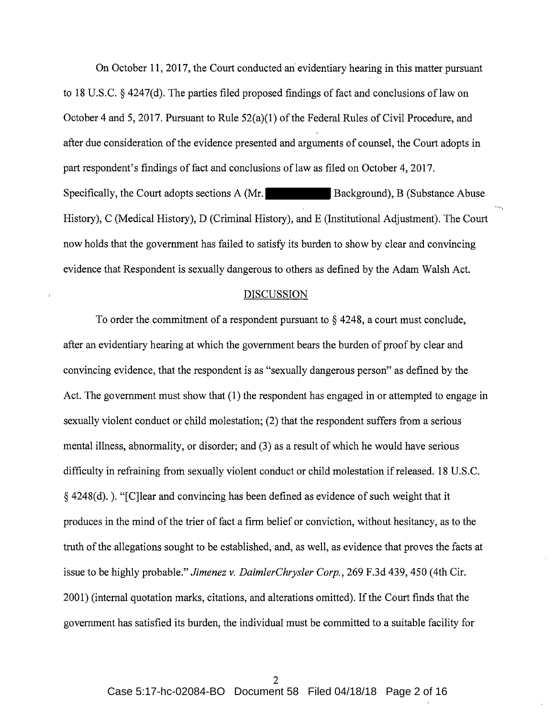On October 11, 2017, the Court conducted an· evidentiary hearing in this matter pursuant to 18 U.S.C.  $\S$  4247(d). The parties filed proposed findings of fact and conclusions of law on October 4 and 5, 2017. Pursuant to Rule 52(a)(l) of the Federal Rules of Civil Procedure, and after due consideration of the evidence presented and arguments of counsel, the Court adopts in part respondent's findings of fact and conclusions of law as filed on October 4, 2017. Specifically, the Court adopts sections A (Mr. Background), B (Substance Abuse History), C (Medical History), D (Criminal History), and E (Institutional Adjustment). The Court now holds that the government has failed to satisfy its burden to show by clear and convincing evidence that Respondent is sexually dangerous to others as defined by the Adam Walsh Act.

### **DISCUSSION**

To order the commitment of a respondent pursuant to § 4248, a court must conclude, after an evidentiary hearing at which the government bears the burden of proof by clear and convincing evidence, that the respondent is as "sexually dangerous person" as defined by the Act. The government must show that (1) the respondent has engaged in or attempted to engage in sexually violent conduct or child molestation; (2) that the respondent suffers from a serious mental illness, abnormality, or disorder; and (3) as a result of which he would have serious difficulty in refraining from sexually violent conduct or child molestation if released. 18 U.S.C.  $\S$  4248(d). ). "[C] lear and convincing has been defined as evidence of such weight that it produces in the mind of the trier of fact a firm belief or conviction, without hesitancy, as to the truth of the allegations sought to be established, and, as well, as evidence that proves the facts at issue to be highly probable." *Jimenez* v. *DaimlerChrysler Corp.,* 269 F.3d 439, 450 (4th Cir. 2001) (internal quotation marks, citations, and alterations omitted). If the Court finds that the government has satisfied its burden, the individual must be committed to a suitable facility for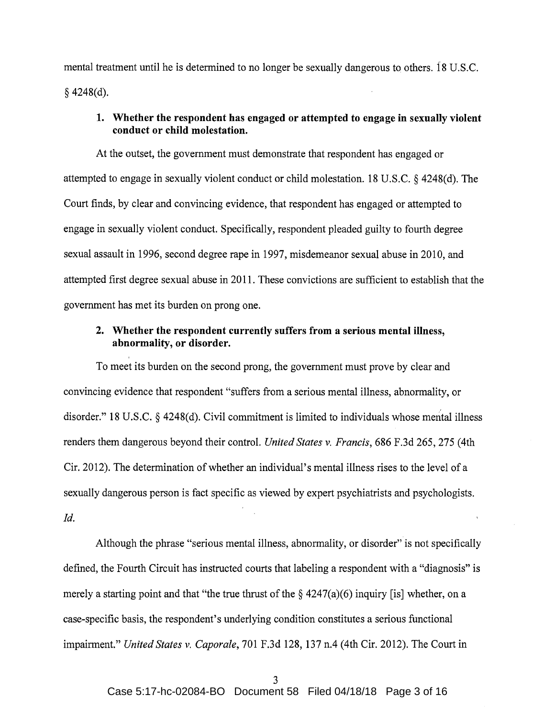mental treatment until he is determined to no longer be sexually dangerous to others. 18 U.S.C.  $§$  4248(d).

## **1. Whether the respondent has engaged or attempted to engage in sexually violent conduct or child molestation.**

At the outset, the government must demonstrate that respondent has engaged or attempted to engage in sexually violent conduct or child molestation. 18 U.S.C. § 4248(d). The Court finds, by clear and convincing evidence, that respondent has engaged or attempted to engage in sexually violent conduct. Specifically, respondent pleaded guilty to fourth degree sexual assault in 1996, second degree rape in 1997, misdemeanor sexual abuse in 2010, and attempted first degree sexual abuse in 2011. These convictions are sufficient to establish that the government has met its burden on prong one.

# **2. Whether the respondent currently suffers from a serious mental illness, abnormality, or disorder.**

To meet its burden on the second prong, the government must prove by clear and convincing evidence that respondent "suffers from a serious mental illness, abnormality, or disorder." 18 U.S.C. § 4248(d). Civil commitment is limited to individuals whose mental illness renders them dangerous beyond their control. *United States v. Francis,* 686 F.3d 265, 275 (4th Cir. 2012). The determination of whether an individual's mental illness rises to the level of a sexually dangerous person is fact specific as viewed by expert psychiatrists and psychologists. *Id.* 

Although the phrase "serious mental illness, abnormality, or disorder" is not specifically defined, the Fourth Circuit has instructed courts that labeling a respondent with a "diagnosis" is merely a starting point and that "the true thrust of the  $\S$  4247(a)(6) inquiry [is] whether, on a case-specific basis, the respondent's underlying condition constitutes a serious functional impairment." *United States v. Caporale,* 701 F.3d 128, 137 n.4 (4th Cir. 2012). The Court in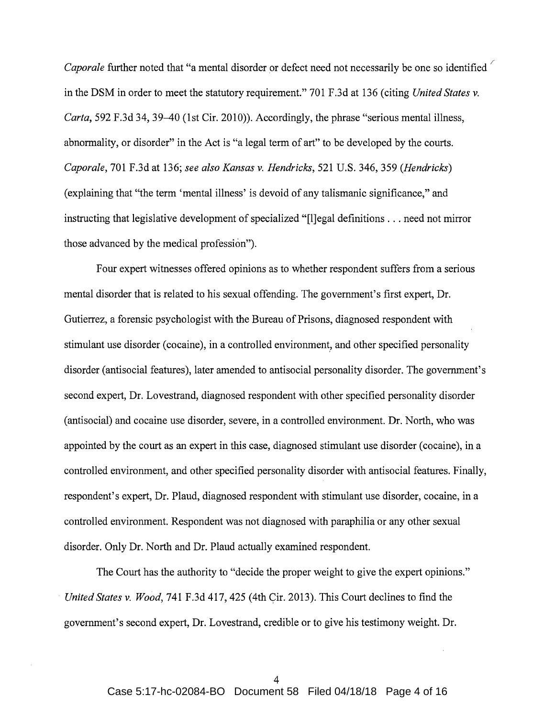*Caporale* further noted that "a mental disorder or defect need not necessarily be one so identified in the DSM in order to meet the statutory requirement." 701 F.3d at 136 (citing *United States v. Carta,* 592 F.3d 34, 39-40 (1st Cir. 2010)). Accordingly, the phrase "serious mental illness, abnormality, or disorder" in the Act is "a legal term of art" to be developed by the courts. *Caporale,* 701 F.3d at 136; *see also Kansas v. Hendricks,* 521 U.S. 346, 359 *(Hendricks)*  (explaining that "the term 'mental illness' is devoid of any talismanic significance," and instructing that legislative development of specialized "[l]egal definitions ... need not mirror those advanced by the medical profession").

Four expert witnesses offered opinions as to whether respondent suffers from a serious mental disorder that is related to his sexual offending. The government's first expert, Dr. Gutierrez, a forensic psychologist with the Bureau of Prisons, diagnosed respondent with stimulant use disorder (cocaine), in a controlled environment, and other specified personality disorder (antisocial features), later amended to antisocial personality disorder. The government's second expert, Dr. Lovestrand, diagnosed respondent with other specified personality disorder (antisocial) and cocaine use disorder, severe, in a controlled environment. Dr. North, who was appointed by the court as an expert in this case, diagnosed stimulant use disorder (cocaine), in a controlled environment, and other specified personality disorder with antisocial features. Finally, respondent's expert, Dr. Plaud, diagnosed respondent with stimulant use disorder, cocaine, in a controlled environment. Respondent was not diagnosed with paraphilia or any other sexual disorder. Only Dr. North and Dr. Plaud actually examined respondent.

The Court has the authority to "decide the proper weight to give the expert opinions." *United States v. Wood,* 741 F.3d 417, 425 (4th Cir. 2013). This Court declines to find the government's second expert, Dr. Lovestrand, credible or to give his testimony weight. Dr.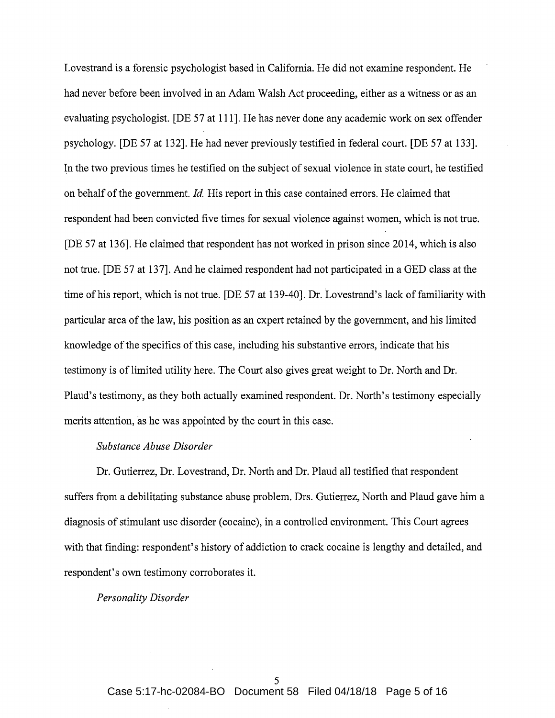Lovestrand is a forensic psychologist based in California. He did not examine respondent. He had never before been involved in an Adam Walsh Act proceeding, either as a witness or as an evaluating psychologist. [DE 57 at 111]. He has never done any academic work on sex offender psychology. [DE 57 at 132]. He had never previously testified in federal court. [DE 57 at 133]. In the two previous times he testified on the subject of sexual violence in state court, he testified on behalf of the government. *Id.* His report in this case contained errors. He claimed that respondent had been convicted five times for sexual violence against women, which is not true. [DE 57 at 136]. He claimed that respondent has not worked in prison since 2014, which is also not true. [DE 57 at 137]. And he claimed respondent had not participated in a GED class at the time of his report, which is not true. [DE 57 at 139-40]. Dr. Lovestrand's lack of familiarity with particular area of the law, his position as an expert retained by the government, and his limited knowledge of the specifics of this case, including his substantive errors, indicate that his testimony is of limited utility here. The Court also gives great weight to Dr. North and Dr. Plaud's testimony, as they both actually examined respondent. Dr. North's testimony especially merits attention, as he was appointed by the court in this case.

## *Substance Abuse Disorder*

Dr. Gutierrez, Dr. Lovestrand, Dr. North and Dr. Plaud all testified that respondent suffers from a debilitating substance abuse problem. Drs. Gutierrez, North and Plaud gave him a diagnosis of stimulant use disorder (cocaine), in a controlled environment. This Court agrees with that finding: respondent's history of addiction to crack cocaine is lengthy and detailed, and respondent's own testimony corroborates it.

*Personality Disorder*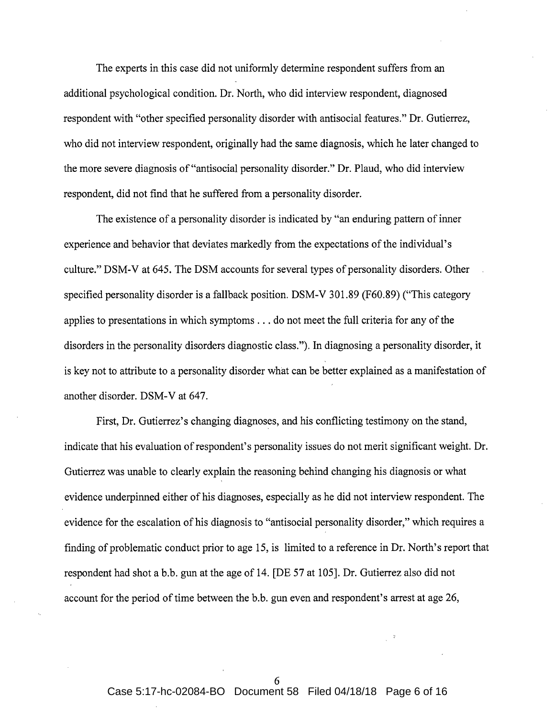The experts in this case did not uniformly determine respondent suffers from an additional psychological condition. Dr. North, who did interview respondent, diagnosed respondent with "other specified personality disorder with antisocial features." Dr. Gutierrez, who did not interview respondent, originally had the same diagnosis, which he later changed to the more severe diagnosis of "antisocial personality disorder." Dr. Plaud, who did interview respondent, did not find that he suffered from a personality disorder.

The existence of a personality disorder is indicated by "an enduring pattern of inner experience and behavior that deviates markedly from the expectations of the individual's culture." DSM-V at 645. The DSM accounts for several types of personality disorders. Other specified personality disorder is a fallback position. DSM-V 301.89 (F60.89) ("This category applies to presentations in which symptoms ... do not meet the full criteria for any of the disorders in the personality disorders diagnostic class."). In diagnosing a personality disorder, it is key not to attribute to a personality disorder what can be better explained as a manifestation of another disorder. DSM-V at 647.

First, Dr. Gutierrez's changing diagnoses, and his conflicting testimony on the stand, indicate that his evaluation of respondent's personality issues do not merit significant weight. Dr. Gutierrez was unable to clearly explain the reasoning behind changing his diagnosis or what evidence underpinned either of his diagnoses, especially as he did not interview respondent. The evidence for the escalation of his diagnosis to "antisocial personality disorder," which requires a finding of problematic conduct prior to age 15, is limited to a reference in Dr. North's report that respondent had shot a b.b. gun at the age of 14. [DE 57 at 105]. Dr. Gutierrez also did not account for the period of time between the b.b. gun even and respondent's arrest at age 26,

6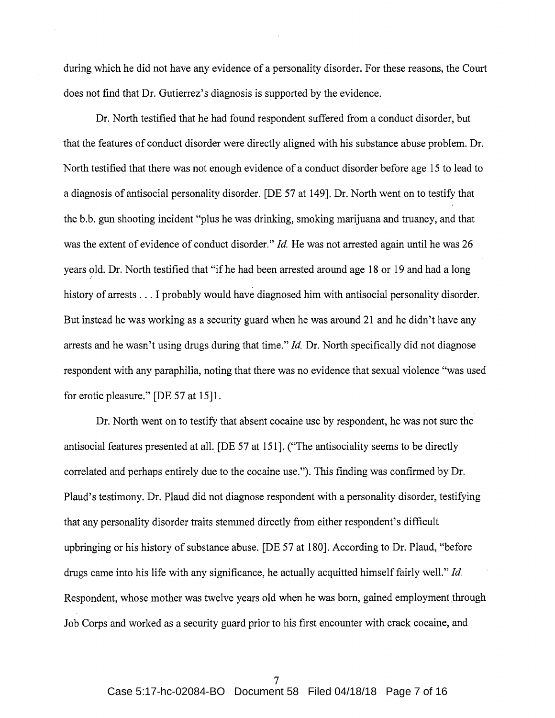during which he did not have any evidence of a personality disorder. For these reasons, the Court does not find that Dr. Gutierrez's diagnosis is supported by the evidence.

Dr. North testified that he had found respondent suffered from a conduct disorder, but that the features of conduct disorder were directly aligned with his substance abuse problem. Dr. North testified that there was not enough evidence of a conduct disorder before age 15 to lead to a diagnosis of antisocial personality disorder. [DE 57 at 149]. Dr. North went on to testify that the b.b. gun shooting incident "plus he was drinking, smoking marijuana and truancy, and that was the extent of evidence of conduct disorder." *Id.* He was not arrested again until he was 26 years old. Dr. North testified that "if he had been arrested around age 18 or 19 and had a long history of arrests ... I probably would have diagnosed him with antisocial personality disorder. But instead he was working as a security guard when he was around 21 and he didn't have any arrests and he wasn't using drugs during that time." *Id.* Dr. North specifically did not diagnose respondent with any paraphilia, noting that there was no evidence that sexual violence "was used for erotic pleasure." [DE 57 at 15]1.

Dr. North went on to testify that absent cocaine use by respondent, he was not sure the antisocial features presented at all. [DE 57 at 151]. ("The antisociality seems to be directly correlated and perhaps entirely due to the cocaine use."). This finding was confirmed by Dr. Plaud's testimony. Dr. Plaud did not diagnose respondent with a personality disorder, testifying that any personality disorder traits stemmed directly from either respondent's difficult upbringing or his history of substance abuse. [DE 57 at 180]. According to Dr. Plaud, "before drugs came into his life with any significance, he actually acquitted himself fairly well." *Id.*  Respondent, whose mother was twelve years old when he was born, gained employment through Job Corps and worked as a security guard prior to his first encounter with crack cocaine, and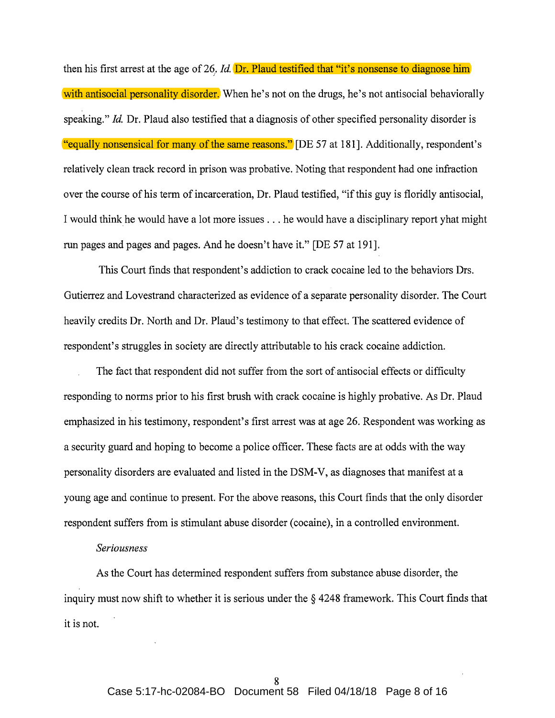then his first arrest at the age of 26. *Id*. **Dr. Plaud testified that "it's nonsense to diagnose him** with antisocial personality disorder. When he's not on the drugs, he's not antisocial behaviorally speaking." *Id.* Dr. Plaud also testified that a diagnosis of other specified personality disorder is "equally nonsensical for many of the same reasons." [DE 57 at 181]. Additionally, respondent's relatively clean track record in prison was probative. Noting that respondent had one infraction over the course of his term of incarceration, Dr. Plaud testified, "if this guy is floridly antisocial, I would think he would have a lot more issues ... he would have a disciplinary report yhat might run pages and pages and pages. And he doesn't have it." [DE 57 at 191].

This Court finds that respondent's addiction to crack cocaine led to the behaviors Drs. Gutierrez and Lovestrand characterized as evidence of a separate personality disorder. The Court heavily credits Dr. North and Dr. Plaud's testimony to that effect. The scattered evidence of respondent's struggles in society are directly attributable to his crack cocaine addiction.

The fact that respondent did not suffer from the sort of antisocial effects or difficulty responding to norms prior to his first brush with crack cocaine is highly probative. As Dr. Plaud emphasized in his testimony, respondent's first arrest was at age 26. Respondent was working as a security guard and hoping to become a police officer. These facts are at odds with the way personality disorders are evaluated and listed in the DSM-V, as diagnoses that manifest at a young age and continue to present. For the above reasons, this Court finds that the only disorder respondent suffers from is stimulant abuse disorder (cocaine), in a controlled environment.

### *Seriousness*

As the Court has determined respondent suffers from substance abuse disorder, the inquiry must now shift to whether it is serious under the § 4248 framework. This Court finds that it is not.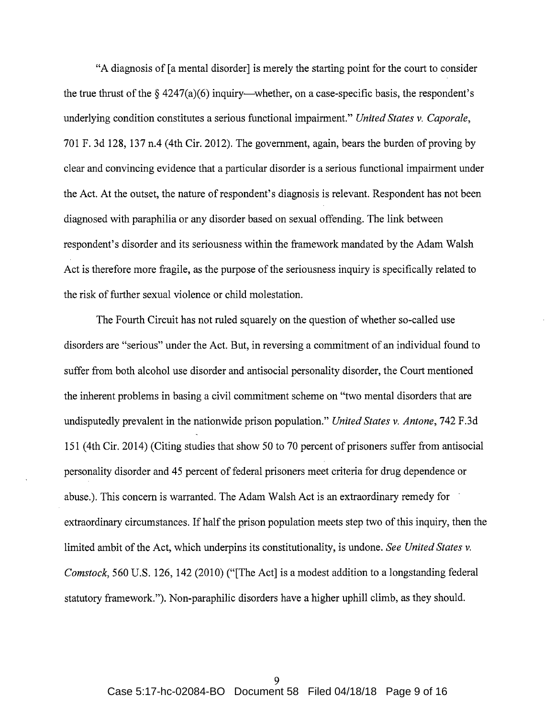"A diagnosis of [a mental disorder] is merely the starting point for the court to consider the true thrust of the  $\S$  4247(a)(6) inquiry—whether, on a case-specific basis, the respondent's underlying condition constitutes a serious functional impairment." *United States v. Caporale,*  701 F. 3d 128, 137 n.4 (4th Cir. 2012). The government, again, bears the burden of proving by clear and convincing evidence that a particular disorder is a serious functional impairment under the Act. At the outset, the nature of respondent's diagnosis is relevant. Respondent has not been diagnosed with paraphilia or any disorder based on sexual offending. The link between respondent's disorder and its seriousness within the framework mandated by the Adam Walsh Act is therefore more fragile, as the purpose of the seriousness inquiry is specifically related to the risk of further sexual violence or child molestation.

The Fourth Circuit has not ruled squarely on the question of whether so-called use disorders are "serious" under the Act. But, in reversing a commitment of an individual found to suffer from both alcohol use disorder and antisocial personality disorder, the Court mentioned the inherent problems in basing a civil commitment scheme on "two mental disorders that are undisputedly prevalent in the nationwide prison population." *United States v. Antone,* 742 F.3d 151 (4th Cir. 2014) (Citing studies that show 50 to 70 percent of prisoners suffer from antisocial personality disorder and 45 percent of federal prisoners meet criteria for drug dependence or abuse.). This concern is warranted. The Adam Walsh Act is an extraordinary remedy for extraordinary circumstances. If half the prison population meets step two of this inquiry, then the limited ambit of the Act, which underpins its constitutionality, is undone. *See United States v. Comstock,* 560 U.S. 126, 142 (2010) ("[The Act] is a modest addition to a longstanding federal statutory framework."). Non-paraphilic disorders have a higher uphill climb, as they should.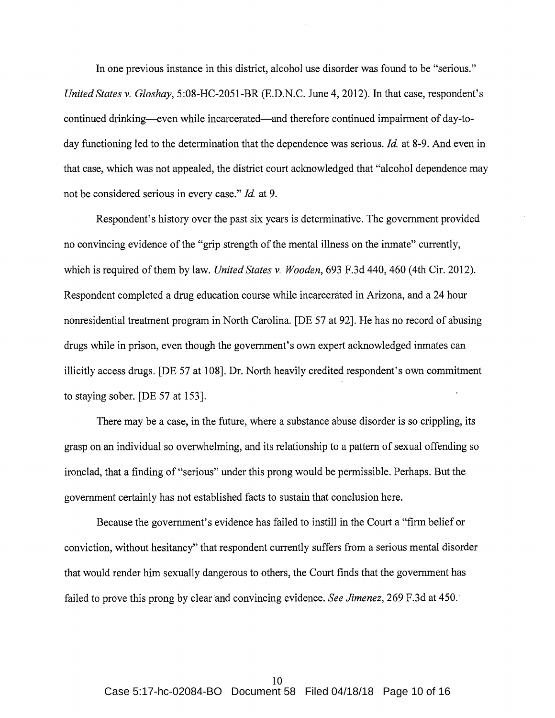In one previous instance in this district, alcohol use disorder was found to be "serious." *United States v. Gloshay,* 5:08-HC-2051-BR (E.D.N.C. June 4, 2012). In that case, respondent's continued drinking—even while incarcerated—and therefore continued impairment of day-today functioning led to the determination that the dependence was serious. *Id* at 8-9. And even in that case, which was not appealed, the district court acknowledged that "alcohol dependence may not be considered serious in every case." *Id* at 9.

Respondent's history over the past six years is determinative. The government provided no convincing evidence of the "grip strength of the mental illness on the inmate" currently, which is required of them by law. *United States v. Wooden,* 693 F.3d 440, 460 (4th Cir. 2012). Respondent completed a drug education course while incarcerated in Arizona, and a 24 hour nonresidential treatment program in North Carolina. [DE 57 at 92]. He has no record of abusing drugs while in prison, even though the government's own expert acknowledged inmates can illicitly access drugs. [DE 57 at 108]. Dr. North heavily credited respondent's own commitment to staying sober. [DE 57 at 153].

There may be a case, in the future, where a substance abuse disorder is so crippling, its grasp on an individual so overwhelming, and its relationship to a pattern of sexual offending so ironclad, that a finding of "serious" under this prong would be permissible. Perhaps. But the government certainly has not established facts to sustain that conclusion here.

Because the government's evidence has failed to instill in the Court a "firm belief or conviction, without hesitancy" that respondent currently suffers from a serious mental disorder that would render him sexually dangerous to others, the Court finds that the government has failed to prove this prong by clear and convincing evidence. *See Jimenez,* 269 F.3d at 450.·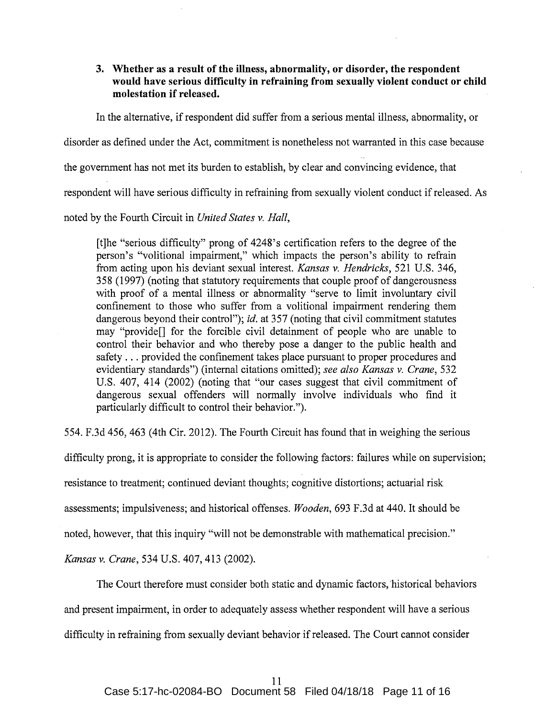## **3. Whether as a result of the illness, abnormality, or disorder, the respondent would have serious difficulty in refraining from sexually violent conduct or child molestation if released.**

In the alternative, if respondent did suffer from a serious mental illness, abnormality, or

disorder as defined under the Act, commitment is nonetheless not warranted in this case because

the government has not met its burden to establish, by clear and convincing evidence, that

respondent will have serious difficulty in refraining from sexually violent conduct if released. As

noted by the Fourth Circuit in *United States v. Hall,* 

[t]he "serious difficulty" prong of 4248's certification refers to the degree of the person's "volitional impairment," which impacts the person's ability to refrain from acting upon his deviant sexual interest. *Kansas v. Hendricks,* 521 U.S. 346, 358 (1997) (noting that statutory requirements that couple proof of dangerousness with proof of a mental illness or abnormality "serve to limit involuntary civil confinement to those who suffer from a volitional impairment rendering them dangerous beyond their control"); *id.* at 357 (noting that civil commitment statutes may "provide[] for the forcible civil detainment of people who are unable to control their behavior and who thereby pose a danger to the public health and safety ... provided the confinement takes place pursuant to proper procedures and evidentiary standards") (internal citations omitted); *see also Kansas v. Crane,* 532 U.S. 407, 414 (2002) (noting that "our cases suggest that civil commitment of dangerous sexual offenders will normally involve individuals who find it particularly difficult to control their behavior.").

554. F.3d 456, 463 (4th Cir. 2012). The Fourth Circuit has found that in weighing the serious

difficulty prong, it is appropriate to consider the following factors: failures while on supervision;

resistance to treatment; continued deviant thoughts; cognitive distortions; actuarial risk

assessments; impulsiveness; and historical offenses. *Wooden,* 693 F.3d at 440. It should be

noted, however, that this inquiry "will not be demonstrable with mathematical precision."

*Kansas v. Crane,* 534 U.S. 407, 413 (2002).

The Court therefore must consider both static and dynamic factors, 'historical behaviors and present impairment, in order to adequately assess whether respondent will have a serious difficulty in refraining from sexually deviant behavior if released. The Court cannot consider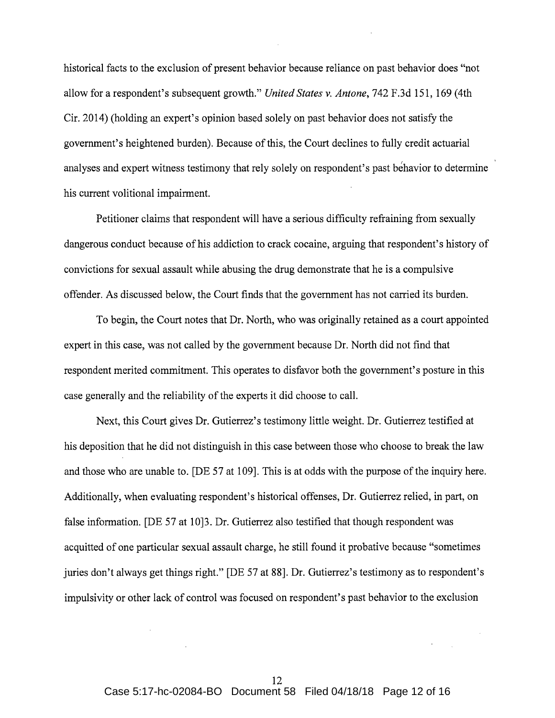historical facts to the exclusion of present behavior because reliance on past behavior does "not allow for a respondent's subsequent growth." *United States v. Antone,* 742 F.3d 151, 169 (4th Cir. 2014) (holding an expert's opinion based solely on past behavior does not satisfy the government's heightened burden). Because of this, the Court declines to fully credit actuarial analyses and expert witness testimony that rely solely on respondent's past behavior to determine his current volitional impairment.

Petitioner claims that respondent will have a serious difficulty refraining from sexually dangerous conduct because of his addiction to crack cocaine, arguing that respondent's history of convictions for sexual assault while abusing the drug demonstrate that he is a compulsive offender. As discussed below, the Court finds that the government has not carried its burden.

To begin, the Court notes that Dr. North, who was originally retained as a court appointed expert in this case, was not called by the government because Dr. North did not find that respondent merited commitment. This operates to disfavor both the government's posture in this case generally and the reliability of the experts it did choose to call.

Next, this Court gives Dr. Gutierrez's testimony little weight. Dr. Gutierrez testified at his deposition that he did not distinguish in this case between those who choose to break the law and those who are unable to. [DE 57 at 109]. This is at odds with the purpose of the inquiry here. Additionally, when evaluating respondent's historical offenses, Dr. Gutierrez relied, in part, on false information. [DE 57 at 10]3. Dr. Gutierrez also testified that though respondent was acquitted of one particular sexual assault charge, he still found it probative because "sometimes juries don't always get things right." [DE 57 at 88]. Dr. Gutierrez's testimony as to respondent's impulsivity or other lack of control was focused on respondent's past behavior to the exclusion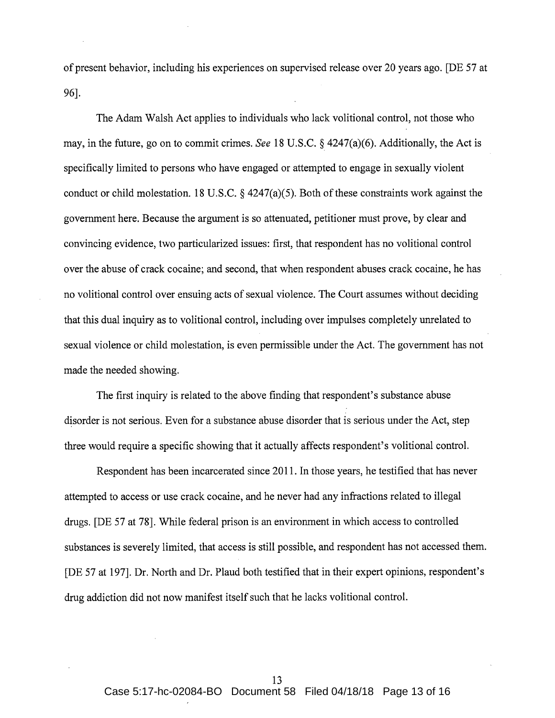of present behavior, including his experiences on supervised release over 20 years ago. [DE 57 at 96].

The Adam Walsh Act applies to individuals who lack volitional control, not those who may, in the future, go on to commit crimes. *See* 18 U.S.C. § 4247(a)(6). Additionally, the Act is specifically limited to persons who have engaged or attempted to engage in sexually violent conduct or child molestation. 18 U.S.C. § 4247(a)(5). Both of these constraints work against the government here. Because the argument is so attenuated, petitioner must prove, by clear and convincing evidence, two particularized issues: first, that respondent has no volitional control over the abuse of crack cocaine; and second, that when respondent abuses crack cocaine, he has no volitional control over ensuing acts of sexual violence. The Court assumes without deciding that this dual inquiry as to volitional control, including over impulses completely unrelated to sexual violence or child molestation, is even permissible under the Act. The government has not made the needed showing.

The first inquiry is related to the above finding that respondent's substance abuse disorder is not serious. Even for a substance abuse disorder that is serious under the Act, step three would require a specific showing that it actually affects respondent's volitional control.

Respondent has been incarcerated since 2011. In those years, he testified that has never attempted to access or use crack cocaine, and he never had any infractions related to illegal drugs. [DE 57 at 78]. While federal prison is an environment in which access to controlled substances is severely limited, that access is still possible, and respondent has not accessed them. [DE 57 at 197]. Dr. North and Dr. Plaud both testified that in their expert opinions, respondent's drug addiction did not now manifest itself such that he lacks volitional control.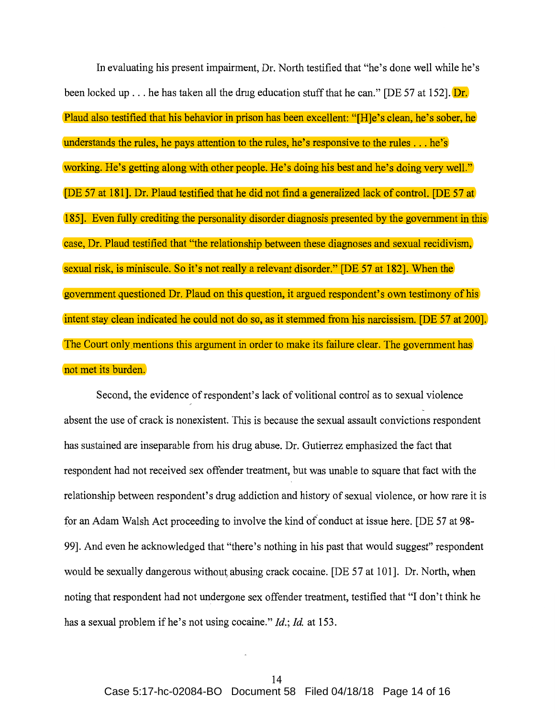In evaluating his present impairment, Dr. North testified that "he's done well while he's been locked up ... he has taken all the drug education stuff that he can." [DE 57 at 152].  $Dr.$ Plaud also testified that his behavior in prison has been excellent: "[H]e's clean, he's sober, he understands the rules, he pays attention to the rules, he's responsive to the rules ... he's working. He's getting along with other people. He's doing his best and he's doing very well." [DE 57 at 181]. Dr. Plaud testified that he did not find a generalized lack of control. [DE 57 at 185]. Even fully crediting the personality disorder diagnosis presented by the government in this case, Dr. Plaud testified that "the relationship between these diagnoses and sexual recidivism, sexual risk, is miniscule. So it's not really a relevant disorder." [DE 57 at 182]. When the government questioned Dr. Plaud on this question, it argued respondent's own testimony of his intent stay clean indicated he could not do so, as it stemmed from his narcissism. [DE 57 at 200]. The Court only mentions this argument in order to make its failure clear. The government has not met its burden.

Second, the evidence of respondent's lack of volitional control as to sexual violence absent the use of crack is nonexistent. This is because the sexual assault convictions respondent has sustained are inseparable from his drug abuse. Dr. Gutierrez emphasized the fact that respondent had not received sex offender treatment, but was unable to square that fact with the relationship between respondent's drug addiction and history of sexual violence, or how rare it is for an Adam Walsh Act proceeding to involve the kind of conduct at issue here. [DE 57 at 98-99]. And even he acknowledged that "there's nothing in his past that would suggest" respondent would be sexually dangerous without, abusing crack cocaine. [DE 57 at 101]. Dr. North, when noting that respondent had not undergone sex offender treatment, testified that "I don't think he has a sexual problem if he's not using cocaine." *Id.*; *Id.* at 153.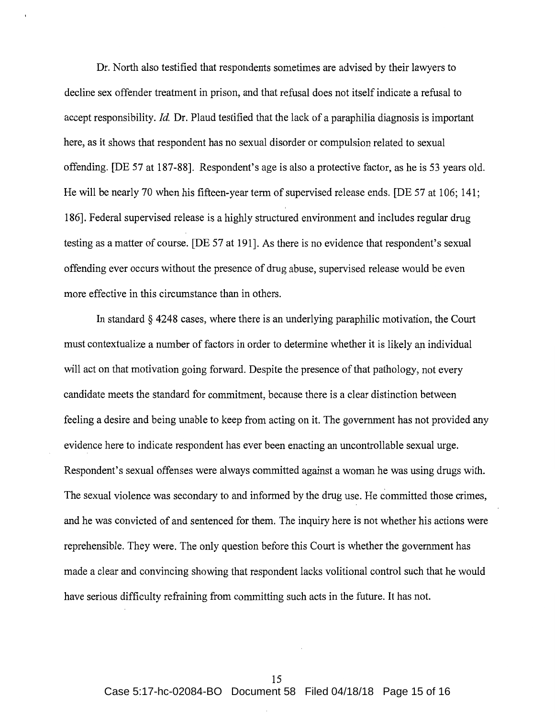Dr. North also testified that respondents sometimes are advised by their lawyers to decline sex offender treatment in prison, and that refusal does not itself indicate a refusal to accept responsibility. *Id.* Dr. Plaud testified that the lack of a paraphilia diagnosis is important here, as it shows that respondent has no sexual disorder or compulsion related to sexual offending. [DE 57 at 187-88]. Respondent's age is also a protective factor, as he is 53 years old. He will be nearly 70 when his fifteen-year term of supervised release ends. [DE 57 at 106; 141; 186]. Federal supervised release is a highly structured environment and includes regular drug testing as a matter of course. [DE 57 at 191]. As there is no evidence that respondent's sexual offending ever occurs without the presence of drug abuse, supervised release would be even more effective in this circumstance than in others.

In standard§ 4248 cases, where there is an underlying paraphilic motivation, the Court must contextualize a number of factors in order to determine whether it is likely an individual will act on that motivation going forward. Despite the presence of that pathology, not every candidate meets the standard for commitment, because there is a clear distinction between feeling a desire and being unable to keep from acting on it. The government has not provided any evidence here to indicate respondent has ever been enacting an uncontrollable sexual urge. Respondent's sexual offenses were always committed against a woman he was using drugs with. The sexual violence was secondary to and informed by the drug use. He committed those crimes, and he was convicted of and sentenced for them. The inquiry here is not whether his actions were reprehensible. They were. The only question before this Court is whether the government has made a clear and convincing showing that respondent lacks volitional control such that he would have serious difficulty refraining from committing such acts in the future. It has not.

15